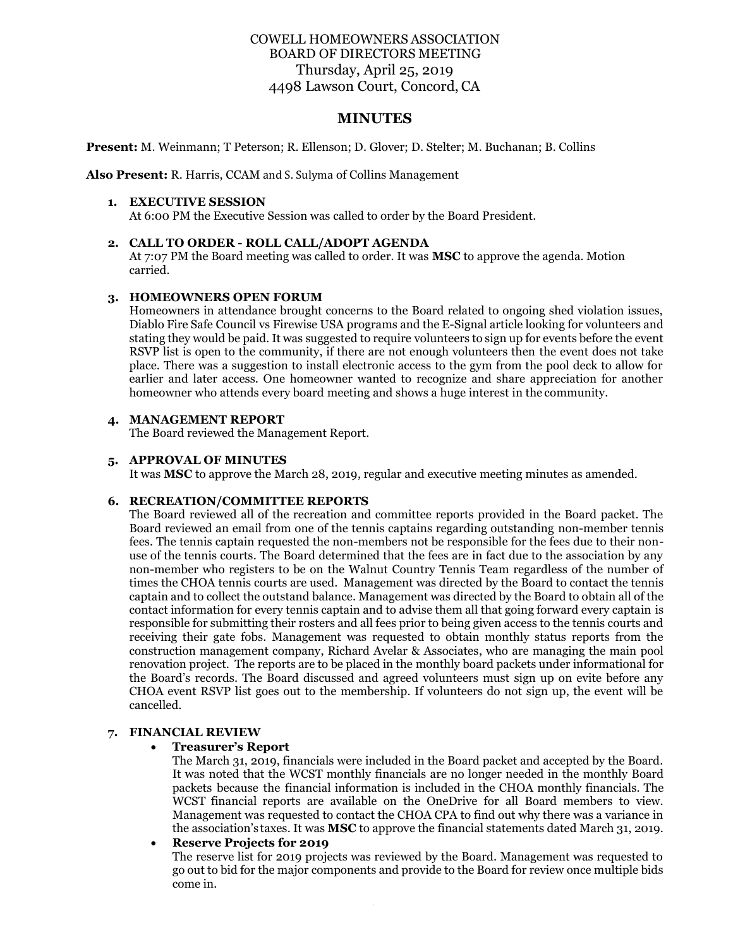# COWELL HOMEOWNERS ASSOCIATION BOARD OF DIRECTORS MEETING Thursday, April 25, 2019 4498 Lawson Court, Concord, CA

# **MINUTES**

**Present:** M. Weinmann; T Peterson; R. Ellenson; D. Glover; D. Stelter; M. Buchanan; B. Collins

**Also Present:** R. Harris, CCAM and S. Sulyma of Collins Management

#### **1. EXECUTIVE SESSION**

At 6:00 PM the Executive Session was called to order by the Board President.

### **2. CALL TO ORDER - ROLL CALL/ADOPT AGENDA**

At 7:07 PM the Board meeting was called to order. It was **MSC** to approve the agenda. Motion carried.

## **3. HOMEOWNERS OPEN FORUM**

Homeowners in attendance brought concerns to the Board related to ongoing shed violation issues, Diablo Fire Safe Council vs Firewise USA programs and the E-Signal article looking for volunteers and stating they would be paid. It was suggested to require volunteers to sign up for events before the event RSVP list is open to the community, if there are not enough volunteers then the event does not take place. There was a suggestion to install electronic access to the gym from the pool deck to allow for earlier and later access. One homeowner wanted to recognize and share appreciation for another homeowner who attends every board meeting and shows a huge interest in the community.

#### **4. MANAGEMENT REPORT**

The Board reviewed the Management Report.

#### **5. APPROVAL OF MINUTES**

It was **MSC** to approve the March 28, 2019, regular and executive meeting minutes as amended.

### **6. RECREATION/COMMITTEE REPORTS**

The Board reviewed all of the recreation and committee reports provided in the Board packet. The Board reviewed an email from one of the tennis captains regarding outstanding non-member tennis fees. The tennis captain requested the non-members not be responsible for the fees due to their nonuse of the tennis courts. The Board determined that the fees are in fact due to the association by any non-member who registers to be on the Walnut Country Tennis Team regardless of the number of times the CHOA tennis courts are used. Management was directed by the Board to contact the tennis captain and to collect the outstand balance. Management was directed by the Board to obtain all of the contact information for every tennis captain and to advise them all that going forward every captain is responsible for submitting their rosters and all fees prior to being given access to the tennis courts and receiving their gate fobs. Management was requested to obtain monthly status reports from the construction management company, Richard Avelar & Associates, who are managing the main pool renovation project. The reports are to be placed in the monthly board packets under informational for the Board's records. The Board discussed and agreed volunteers must sign up on evite before any CHOA event RSVP list goes out to the membership. If volunteers do not sign up, the event will be cancelled.

### **7. FINANCIAL REVIEW**

### • **Treasurer's Report**

The March 31, 2019, financials were included in the Board packet and accepted by the Board. It was noted that the WCST monthly financials are no longer needed in the monthly Board packets because the financial information is included in the CHOA monthly financials. The WCST financial reports are available on the OneDrive for all Board members to view. Management was requested to contact the CHOA CPA to find out why there was a variance in the association's taxes. It was **MSC** to approve the financial statements dated March 31, 2019.

#### • **Reserve Projects for 2019**

The reserve list for 2019 projects was reviewed by the Board. Management was requested to go out to bid for the major components and provide to the Board for review once multiple bids come in.